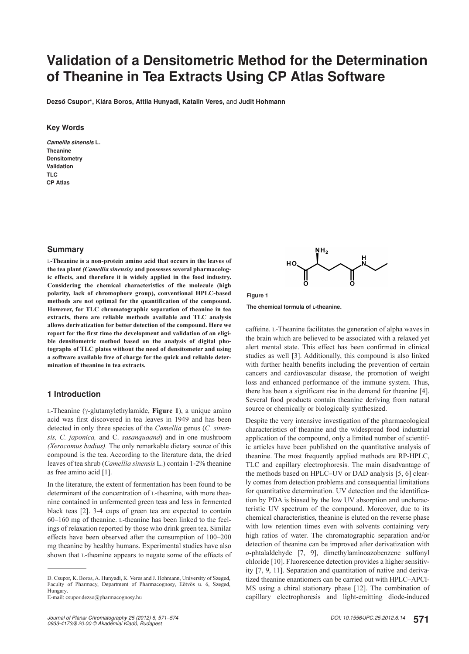# **Validation of a Densitometric Method for the Determination of Theanine in Tea Extracts Using CP Atlas Software**

**Dezsô Csupor\*, Klára Boros, Attila Hunyadi, Katalin Veres,** and **Judit Hohmann**

#### **Key Words**

*Camellia sinensis* **L. Theanine Densitometry Validation TLC CP Atlas**

## **Summary**

L-Theanine is a non-protein amino acid that occurs in the leaves of the tea plant (Camellia sinensis) and possesses several pharmacologic effects, and therefore it is widely applied in the food industry. Considering the chemical characteristics of the molecule (high polarity, lack of chromophore group), conventional HPLC-based methods are not optimal for the quantification of the compound. However, for TLC chromatographic separation of theanine in tea extracts, there are reliable methods available and TLC analysis allows derivatization for better detection of the compound. Here we report for the first time the development and validation of an eligible densitometric method based on the analysis of digital photographs of TLC plates without the need of densitometer and using a software available free of charge for the quick and reliable determination of theanine in tea extracts.

# **1 Introduction**

L-Theanine (γ-glutamylethylamide, Figure 1), a unique amino acid was first discovered in tea leaves in 1949 and has been detected in only three species of the Camellia genus (C. sinensis, C. japonica, and C. sasanquaand) and in one mushroom (Xerocomus badius). The only remarkable dietary source of this compound is the tea. According to the literature data, the dried leaves of tea shrub (Camellia sinensis L.) contain 1-2% theanine as free amino acid [1].

In the literature, the extent of fermentation has been found to be determinant of the concentration of L-theanine, with more theanine contained in unfermented green teas and less in fermented black teas [2]. 3-4 cups of green tea are expected to contain 60–160 mg of theanine. L-theanine has been linked to the feelings of relaxation reported by those who drink green tea. Similar effects have been observed after the consumption of 100–200 mg theanine by healthy humans. Experimental studies have also shown that L-theanine appears to negate some of the effects of





**The chemical formula of L-theanine.**

caffeine. L-Theanine facilitates the generation of alpha waves in the brain which are believed to be associated with a relaxed yet alert mental state. This effect has been confirmed in clinical studies as well [3]. Additionally, this compound is also linked with further health benefits including the prevention of certain cancers and cardiovascular disease, the promotion of weight loss and enhanced performance of the immune system. Thus, there has been a significant rise in the demand for theanine [4]. Several food products contain theanine deriving from natural source or chemically or biologically synthesized.

Despite the very intensive investigation of the pharmacological characteristics of theanine and the widespread food industrial application of the compound, only a limited number of scientific articles have been published on the quantitative analysis of theanine. The most frequently applied methods are RP-HPLC, TLC and capillary electrophoresis. The main disadvantage of the methods based on HPLC–UV or DAD analysis [5, 6] clearly comes from detection problems and consequential limitations for quantitative determination. UV detection and the identification by PDA is biased by the low UV absorption and uncharacteristic UV spectrum of the compound. Moreover, due to its chemical characteristics, theanine is eluted on the reverse phase with low retention times even with solvents containing very high ratios of water. The chromatographic separation and/or detection of theanine can be improved after derivatization with o-phtalaldehyde [7, 9], dimethylaminoazobenzene sulfonyl chloride [10]. Fluorescence detection provides a higher sensitivity [7, 9, 11]. Separation and quantitation of native and derivatized theanine enantiomers can be carried out with HPLC–APCI-MS using a chiral stationary phase [12]. The combination of capillary electrophoresis and light-emitting diode-induced

D. Csupor, K. Boros, A. Hunyadi, K. Veres and J. Hohmann, University of Szeged, Faculty of Pharmacy, Department of Pharmacognosy, Eötvös u. 6, Szeged, Hungary.

E-mail: csupor.dezso@pharmacognosy.hu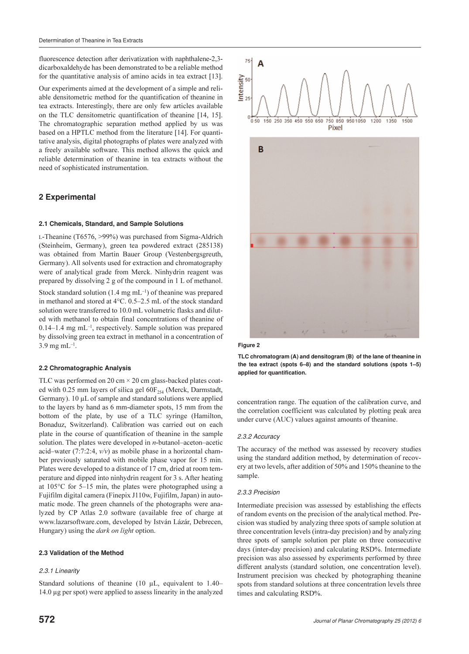fluorescence detection after derivatization with naphthalene-2,3 dicarboxaldehyde has been demonstrated to be a reliable method for the quantitative analysis of amino acids in tea extract [13].

Our experiments aimed at the development of a simple and reliable densitometric method for the quantification of theanine in tea extracts. Interestingly, there are only few articles available on the TLC densitometric quantification of theanine [14, 15]. The chromatographic separation method applied by us was based on a HPTLC method from the literature [14]. For quantitative analysis, digital photographs of plates were analyzed with a freely available software. This method allows the quick and reliable determination of theanine in tea extracts without the need of sophisticated instrumentation.

# **2 Experimental**

#### **2.1 Chemicals, Standard, and Sample Solutions**

L-Theanine (T6576, >99%) was purchased from Sigma-Aldrich (Steinheim, Germany), green tea powdered extract (285138) was obtained from Martin Bauer Group (Vestenbergsgreuth, Germany). All solvents used for extraction and chromatography were of analytical grade from Merck. Ninhydrin reagent was prepared by dissolving 2 g of the compound in 1 L of methanol.

Stock standard solution (1.4 mg mL<sup>-1</sup>) of theanine was prepared in methanol and stored at 4°C. 0.5–2.5 mL of the stock standard solution were transferred to 10.0 mL volumetric flasks and diluted with methanol to obtain final concentrations of theanine of 0.14–1.4 mg mL–1, respectively. Sample solution was prepared by dissolving green tea extract in methanol in a concentration of  $3.9 \text{ mg} \text{ mL}^{-1}$ .

## **2.2 Chromatographic Analysis**

TLC was performed on 20 cm  $\times$  20 cm glass-backed plates coated with 0.25 mm layers of silica gel  $60F_{254}$  (Merck, Darmstadt, Germany). 10 μL of sample and standard solutions were applied to the layers by hand as 6 mm-diameter spots, 15 mm from the bottom of the plate, by use of a TLC syringe (Hamilton, Bonaduz, Switzerland). Calibration was carried out on each plate in the course of quantification of theanine in the sample solution. The plates were developed in *n*-butanol–aceton–acetic acid–water (7:7:2:4,  $v/v$ ) as mobile phase in a horizontal chamber previously saturated with mobile phase vapor for 15 min. Plates were developed to a distance of 17 cm, dried at room temperature and dipped into ninhydrin reagent for 3 s. After heating at 105°C for 5–15 min, the plates were photographed using a Fujifilm digital camera (Finepix J110w, Fujifilm, Japan) in automatic mode. The green channels of the photographs were analyzed by CP Atlas 2.0 software (available free of charge at www.lazarsoftware.com, developed by István Lázár, Debrecen, Hungary) using the *dark on light* option.

#### **2.3 Validation of the Method**

#### *2.3.1 Linearity*

Standard solutions of theanine (10 μL, equivalent to 1.40– 14.0 μg per spot) were applied to assess linearity in the analyzed





**TLC chromatogram (A) and densitogram (B) of the lane of theanine in the tea extract (spots 6–8) and the standard solutions (spots 1–5) applied for quantification.** 

concentration range. The equation of the calibration curve, and the correlation coefficient was calculated by plotting peak area under curve (AUC) values against amounts of theanine.

#### *2.3.2 Accuracy*

The accuracy of the method was assessed by recovery studies using the standard addition method, by determination of recovery at two levels, after addition of 50% and 150% theanine to the sample.

#### *2.3.3 Precision*

Intermediate precision was assessed by establishing the effects of random events on the precision of the analytical method. Precision was studied by analyzing three spots of sample solution at three concentration levels (intra-day precision) and by analyzing three spots of sample solution per plate on three consecutive days (inter-day precision) and calculating RSD%. Intermediate precision was also assessed by experiments performed by three different analysts (standard solution, one concentration level). Instrument precision was checked by photographing theanine spots from standard solutions at three concentration levels three times and calculating RSD%.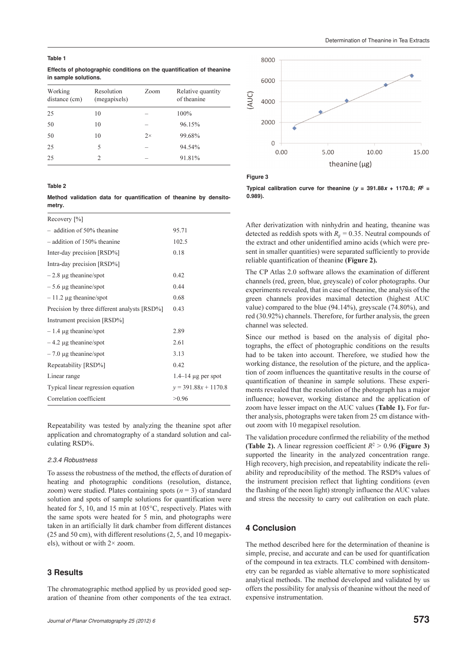**Effects of photographic conditions on the quantification of theanine in sample solutions.**

| Working<br>distance (cm) | Resolution<br>(megapixels) | Zoom | Relative quantity<br>of theanine |
|--------------------------|----------------------------|------|----------------------------------|
| 25                       | 10                         |      | 100%                             |
| 50                       | 10                         |      | 96.15%                           |
| 50                       | 10                         | 2x   | 99.68%                           |
| 25                       | 5                          |      | 94.54%                           |
| 25                       | 2                          |      | 91.81%                           |

#### **Table 2**

**Method validation data for quantification of theanine by densitometry.**

| 95.71                  |
|------------------------|
| 102.5                  |
| 0.18                   |
|                        |
| 0.42                   |
| 0.44                   |
| 0.68                   |
| 0.43                   |
|                        |
| 2.89                   |
| 2.61                   |
| 3.13                   |
| 0.42                   |
| $1.4-14$ µg per spot   |
| $y = 391.88x + 1170.8$ |
| > 0.96                 |
|                        |

Repeatability was tested by analyzing the theanine spot after application and chromatography of a standard solution and calculating RSD%.

#### *2.3.4 Robustness*

To assess the robustness of the method, the effects of duration of heating and photographic conditions (resolution, distance, zoom) were studied. Plates containing spots  $(n = 3)$  of standard solution and spots of sample solutions for quantification were heated for 5, 10, and 15 min at 105°C, respectively. Plates with the same spots were heated for 5 min, and photographs were taken in an artificially lit dark chamber from different distances (25 and 50 cm), with different resolutions (2, 5, and 10 megapixels), without or with 2× zoom.

#### **3 Results**

The chromatographic method applied by us provided good separation of theanine from other components of the tea extract.



**Figure 3**

**Typical calibration curve for theanine (** $y = 391.88x + 1170.8$ **;**  $R^2 =$ **0.989).**

After derivatization with ninhydrin and heating, theanine was detected as reddish spots with  $R<sub>F</sub>$  = 0.35. Neutral compounds of the extract and other unidentified amino acids (which were present in smaller quantities) were separated sufficiently to provide reliable quantification of theanine (Figure 2).

The CP Atlas 2.0 software allows the examination of different channels (red, green, blue, greyscale) of color photographs. Our experiments revealed, that in case of theanine, the analysis of the green channels provides maximal detection (highest AUC value) compared to the blue (94.14%), greyscale (74.80%), and red (30.92%) channels. Therefore, for further analysis, the green channel was selected.

Since our method is based on the analysis of digital photographs, the effect of photographic conditions on the results had to be taken into account. Therefore, we studied how the working distance, the resolution of the picture, and the application of zoom influences the quantitative results in the course of quantification of theanine in sample solutions. These experiments revealed that the resolution of the photograph has a major influence; however, working distance and the application of zoom have lesser impact on the AUC values (Table 1). For further analysis, photographs were taken from 25 cm distance without zoom with 10 megapixel resolution.

The validation procedure confirmed the reliability of the method (Table 2). A linear regression coefficient  $R^2 > 0.96$  (Figure 3) supported the linearity in the analyzed concentration range. High recovery, high precision, and repeatability indicate the reliability and reproducibility of the method. The RSD% values of the instrument precision reflect that lighting conditions (even the flashing of the neon light) strongly influence the AUC values and stress the necessity to carry out calibration on each plate.

# **4 Conclusion**

The method described here for the determination of theanine is simple, precise, and accurate and can be used for quantification of the compound in tea extracts. TLC combined with densitometry can be regarded as viable alternative to more sophisticated analytical methods. The method developed and validated by us offers the possibility for analysis of theanine without the need of expensive instrumentation.